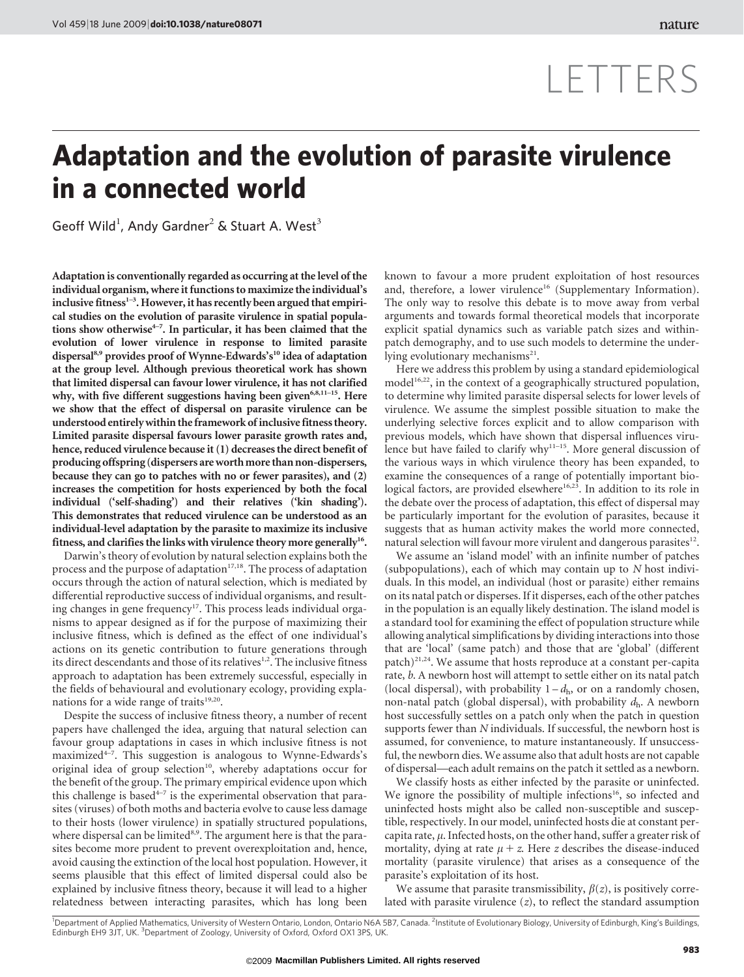# LETTERS

## Adaptation and the evolution of parasite virulence in a connected world

Geoff Wild<sup>1</sup>, Andy Gardner<sup>2</sup> & Stuart A. West<sup>3</sup>

Adaptation is conventionally regarded as occurring at the level of the individual organism, where it functions to maximize the individual's inclusive fitness $1-3$ . However, it has recently been argued that empirical studies on the evolution of parasite virulence in spatial populations show otherwise<sup> $4-7$ </sup>. In particular, it has been claimed that the evolution of lower virulence in response to limited parasite dispersal<sup>8,9</sup> provides proof of Wynne-Edwards's<sup>10</sup> idea of adaptation at the group level. Although previous theoretical work has shown that limited dispersal can favour lower virulence, it has not clarified why, with five different suggestions having been given $6,8,11-15$ . Here we show that the effect of dispersal on parasite virulence can be understood entirely within the framework of inclusive fitness theory. Limited parasite dispersal favours lower parasite growth rates and, hence, reduced virulence because it (1) decreases the direct benefit of producing offspring (dispersers areworthmore than non-dispersers, because they can go to patches with no or fewer parasites), and (2) increases the competition for hosts experienced by both the focal individual ('self-shading') and their relatives ('kin shading'). This demonstrates that reduced virulence can be understood as an individual-level adaptation by the parasite to maximize its inclusive fitness, and clarifies the links with virulence theory more generally<sup>16</sup>.

Darwin's theory of evolution by natural selection explains both the process and the purpose of adaptation<sup>17,18</sup>. The process of adaptation occurs through the action of natural selection, which is mediated by differential reproductive success of individual organisms, and resulting changes in gene frequency<sup>17</sup>. This process leads individual organisms to appear designed as if for the purpose of maximizing their inclusive fitness, which is defined as the effect of one individual's actions on its genetic contribution to future generations through its direct descendants and those of its relatives<sup>1,2</sup>. The inclusive fitness approach to adaptation has been extremely successful, especially in the fields of behavioural and evolutionary ecology, providing explanations for a wide range of traits<sup>19,20</sup>.

Despite the success of inclusive fitness theory, a number of recent papers have challenged the idea, arguing that natural selection can favour group adaptations in cases in which inclusive fitness is not maximized4–7. This suggestion is analogous to Wynne-Edwards's original idea of group selection<sup>10</sup>, whereby adaptations occur for the benefit of the group. The primary empirical evidence upon which this challenge is based<sup> $4-7$ </sup> is the experimental observation that parasites (viruses) of both moths and bacteria evolve to cause less damage to their hosts (lower virulence) in spatially structured populations, where dispersal can be limited $8.9$ . The argument here is that the parasites become more prudent to prevent overexploitation and, hence, avoid causing the extinction of the local host population. However, it seems plausible that this effect of limited dispersal could also be explained by inclusive fitness theory, because it will lead to a higher relatedness between interacting parasites, which has long been

known to favour a more prudent exploitation of host resources and, therefore, a lower virulence<sup>16</sup> (Supplementary Information). The only way to resolve this debate is to move away from verbal arguments and towards formal theoretical models that incorporate explicit spatial dynamics such as variable patch sizes and withinpatch demography, and to use such models to determine the underlying evolutionary mechanisms<sup>21</sup>.

Here we address this problem by using a standard epidemiological  $model<sup>16,22</sup>$ , in the context of a geographically structured population, to determine why limited parasite dispersal selects for lower levels of virulence. We assume the simplest possible situation to make the underlying selective forces explicit and to allow comparison with previous models, which have shown that dispersal influences virulence but have failed to clarify why<sup>11–15</sup>. More general discussion of the various ways in which virulence theory has been expanded, to examine the consequences of a range of potentially important biological factors, are provided elsewhere<sup>16,23</sup>. In addition to its role in the debate over the process of adaptation, this effect of dispersal may be particularly important for the evolution of parasites, because it suggests that as human activity makes the world more connected, natural selection will favour more virulent and dangerous parasites<sup>12</sup>.

We assume an 'island model' with an infinite number of patches (subpopulations), each of which may contain up to N host individuals. In this model, an individual (host or parasite) either remains on its natal patch or disperses. If it disperses, each of the other patches in the population is an equally likely destination. The island model is a standard tool for examining the effect of population structure while allowing analytical simplifications by dividing interactions into those that are 'local' (same patch) and those that are 'global' (different patch)<sup>21,24</sup>. We assume that hosts reproduce at a constant per-capita rate, b. A newborn host will attempt to settle either on its natal patch (local dispersal), with probability  $1-d_h$ , or on a randomly chosen, non-natal patch (global dispersal), with probability  $d_h$ . A newborn host successfully settles on a patch only when the patch in question supports fewer than N individuals. If successful, the newborn host is assumed, for convenience, to mature instantaneously. If unsuccessful, the newborn dies. We assume also that adult hosts are not capable of dispersal—each adult remains on the patch it settled as a newborn.

We classify hosts as either infected by the parasite or uninfected. We ignore the possibility of multiple infections<sup>16</sup>, so infected and uninfected hosts might also be called non-susceptible and susceptible, respectively. In our model, uninfected hosts die at constant percapita rate,  $\mu$ . Infected hosts, on the other hand, suffer a greater risk of mortality, dying at rate  $\mu$  + z. Here z describes the disease-induced mortality (parasite virulence) that arises as a consequence of the parasite's exploitation of its host.

We assume that parasite transmissibility,  $\beta(z)$ , is positively correlated with parasite virulence  $(z)$ , to reflect the standard assumption

<sup>1</sup>Department of Applied Mathematics, University of Western Ontario, London, Ontario N6A 5B7, Canada. <sup>2</sup>Institute of Evolutionary Biology, University of Edinburgh, King's Buildings, Edinburgh EH9 3JT, UK. <sup>3</sup>Department of Zoology, University of Oxford, Oxford OX1 3PS, UK.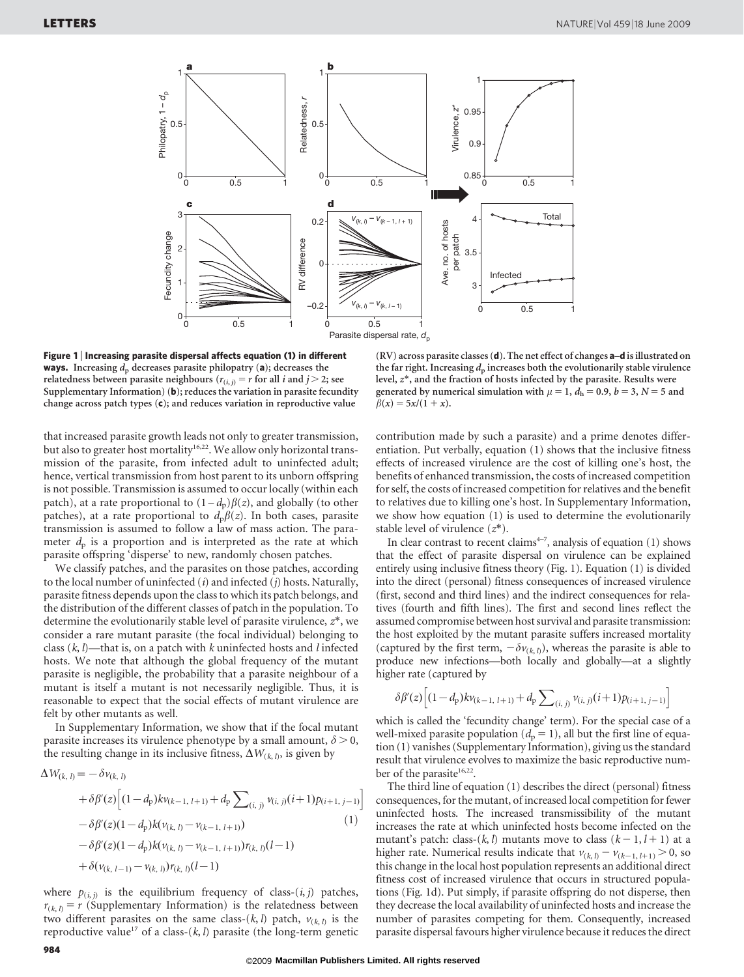

Figure 1 | Increasing parasite dispersal affects equation (1) in different **ways.** Increasing  $d_p$  decreases parasite philopatry (a); decreases the relatedness between parasite neighbours ( $r_{(i,j)} = r$  for all i and j > 2; see Supplementary Information) (b); reduces the variation in parasite fecundity change across patch types (c); and reduces variation in reproductive value

that increased parasite growth leads not only to greater transmission, but also to greater host mortality<sup>16,22</sup>. We allow only horizontal transmission of the parasite, from infected adult to uninfected adult; hence, vertical transmission from host parent to its unborn offspring is not possible. Transmission is assumed to occur locally (within each patch), at a rate proportional to  $(1-d_p)\beta(z)$ , and globally (to other patches), at a rate proportional to  $d<sub>p</sub> \beta(z)$ . In both cases, parasite transmission is assumed to follow a law of mass action. The parameter  $d_p$  is a proportion and is interpreted as the rate at which parasite offspring 'disperse' to new, randomly chosen patches.

We classify patches, and the parasites on those patches, according to the local number of uninfected  $(i)$  and infected  $(j)$  hosts. Naturally, parasite fitness depends upon the class to which its patch belongs, and the distribution of the different classes of patch in the population. To determine the evolutionarily stable level of parasite virulence,  $z^*$ , we consider a rare mutant parasite (the focal individual) belonging to class  $(k, l)$ —that is, on a patch with k uninfected hosts and l infected hosts. We note that although the global frequency of the mutant parasite is negligible, the probability that a parasite neighbour of a mutant is itself a mutant is not necessarily negligible. Thus, it is reasonable to expect that the social effects of mutant virulence are felt by other mutants as well.

In Supplementary Information, we show that if the focal mutant parasite increases its virulence phenotype by a small amount,  $\delta$  > 0, the resulting change in its inclusive fitness,  $\Delta W_{(k, l)}$ , is given by

$$
\Delta W_{(k, l)} = -\delta v_{(k, l)} \n+ \delta \beta'(z) \Big[ (1 - d_{p}) k v_{(k-1, l+1)} + d_{p} \sum_{(i, j)} v_{(i, j)} (i+1) p_{(i+1, j-1)} \Big] \n- \delta \beta'(z) (1 - d_{p}) k (v_{(k, l)} - v_{(k-1, l+1)}) \n- \delta \beta'(z) (1 - d_{p}) k (v_{(k, l)} - v_{(k-1, l+1)}) r_{(k, l)} (l-1) \n+ \delta(v_{(k, l-1)} - v_{(k, l)}) r_{(k, l)} (l-1)
$$
\n(1)

where  $p_{(i,j)}$  is the equilibrium frequency of class- $(i,j)$  patches,  $r_{(k, l)} = r$  (Supplementary Information) is the relatedness between two different parasites on the same class-(k, l) patch,  $v_{(k, l)}$  is the reproductive value<sup>17</sup> of a class-(k, l) parasite (the long-term genetic

(RV) across parasite classes (d). The net effect of changes a–d is illustrated on the far right. Increasing  $d_p$  increases both the evolutionarily stable virulence level, z\*, and the fraction of hosts infected by the parasite. Results were generated by numerical simulation with  $\mu = 1$ ,  $d_h = 0.9$ ,  $b = 3$ ,  $N = 5$  and  $\beta(x) = 5x/(1 + x)$ .

contribution made by such a parasite) and a prime denotes differentiation. Put verbally, equation (1) shows that the inclusive fitness effects of increased virulence are the cost of killing one's host, the benefits of enhanced transmission, the costs of increased competition for self, the costs of increased competition for relatives and the benefit to relatives due to killing one's host. In Supplementary Information, we show how equation (1) is used to determine the evolutionarily stable level of virulence  $(z^*)$ .

In clear contrast to recent claims<sup> $4-7$ </sup>, analysis of equation (1) shows that the effect of parasite dispersal on virulence can be explained entirely using inclusive fitness theory (Fig. 1). Equation (1) is divided into the direct (personal) fitness consequences of increased virulence (first, second and third lines) and the indirect consequences for relatives (fourth and fifth lines). The first and second lines reflect the assumed compromise between host survival and parasite transmission: the host exploited by the mutant parasite suffers increased mortality (captured by the first term,  $-\delta v_{(k, l)}$ ), whereas the parasite is able to produce new infections—both locally and globally—at a slightly higher rate (captured by

$$
\delta \beta'(z) \Big[ (1-d_{p}) k v_{(k-1, l+1)} + d_{p} \sum\nolimits_{(i, j)} v_{(i, j)} (i+1) p_{(i+1, j-1)} \Big]
$$

which is called the 'fecundity change' term). For the special case of a well-mixed parasite population ( $d_p = 1$ ), all but the first line of equation (1) vanishes (Supplementary Information), giving us the standard result that virulence evolves to maximize the basic reproductive number of the parasite<sup>16,22</sup>.

The third line of equation (1) describes the direct (personal) fitness consequences, for the mutant, of increased local competition for fewer uninfected hosts. The increased transmissibility of the mutant increases the rate at which uninfected hosts become infected on the mutant's patch: class-(k, l) mutants move to class  $(k - 1, l + 1)$  at a higher rate. Numerical results indicate that  $v_{(k, l)} - v_{(k-1, l+1)} > 0$ , so this change in the local host population represents an additional direct fitness cost of increased virulence that occurs in structured populations (Fig. 1d). Put simply, if parasite offspring do not disperse, then they decrease the local availability of uninfected hosts and increase the number of parasites competing for them. Consequently, increased parasite dispersal favours higher virulence because it reduces the direct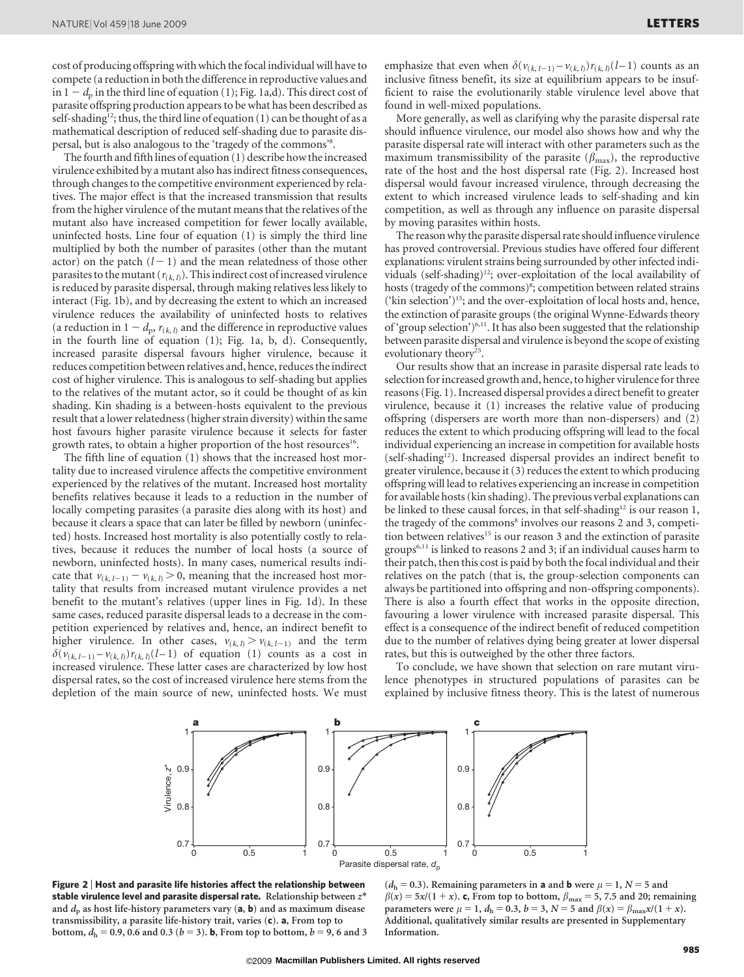cost of producing offspring with which the focal individual will have to compete (a reduction in both the difference in reproductive values and in  $1 - d_p$  in the third line of equation (1); Fig. 1a,d). This direct cost of parasite offspring production appears to be what has been described as self-shading<sup>12</sup>; thus, the third line of equation (1) can be thought of as a mathematical description of reduced self-shading due to parasite dispersal, but is also analogous to the 'tragedy of the commons'8 .

The fourth and fifth lines of equation (1) describe how the increased virulence exhibited by a mutant also has indirect fitness consequences, through changes to the competitive environment experienced by relatives. The major effect is that the increased transmission that results from the higher virulence of the mutant means that the relatives of the mutant also have increased competition for fewer locally available, uninfected hosts. Line four of equation (1) is simply the third line multiplied by both the number of parasites (other than the mutant actor) on the patch  $(l - 1)$  and the mean relatedness of those other parasites to the mutant  $(r_{(k, l)})$ . This indirect cost of increased virulence is reduced by parasite dispersal, through making relatives less likely to interact (Fig. 1b), and by decreasing the extent to which an increased virulence reduces the availability of uninfected hosts to relatives (a reduction in  $1 - d_p$ ,  $r_{(k, l)}$  and the difference in reproductive values in the fourth line of equation (1); Fig. 1a, b, d). Consequently, increased parasite dispersal favours higher virulence, because it reduces competition between relatives and, hence, reduces the indirect cost of higher virulence. This is analogous to self-shading but applies to the relatives of the mutant actor, so it could be thought of as kin shading. Kin shading is a between-hosts equivalent to the previous result that a lower relatedness (higher strain diversity) within the same host favours higher parasite virulence because it selects for faster growth rates, to obtain a higher proportion of the host resources<sup>16</sup>.

The fifth line of equation (1) shows that the increased host mortality due to increased virulence affects the competitive environment experienced by the relatives of the mutant. Increased host mortality benefits relatives because it leads to a reduction in the number of locally competing parasites (a parasite dies along with its host) and because it clears a space that can later be filled by newborn (uninfected) hosts. Increased host mortality is also potentially costly to relatives, because it reduces the number of local hosts (a source of newborn, uninfected hosts). In many cases, numerical results indicate that  $v_{(k, l-1)} - v_{(k, l)} > 0$ , meaning that the increased host mortality that results from increased mutant virulence provides a net benefit to the mutant's relatives (upper lines in Fig. 1d). In these same cases, reduced parasite dispersal leads to a decrease in the competition experienced by relatives and, hence, an indirect benefit to higher virulence. In other cases,  $v_{(k, l)} > v_{(k, l-1)}$  and the term  $\delta(v_{(k, l-1)} - v_{(k, l)})r_{(k, l)}(l-1)$  of equation (1) counts as a cost in increased virulence. These latter cases are characterized by low host dispersal rates, so the cost of increased virulence here stems from the depletion of the main source of new, uninfected hosts. We must emphasize that even when  $\delta(\nu_{(k,l-1)} - \nu_{(k,l)})r_{(k,l)}(l-1)$  counts as an inclusive fitness benefit, its size at equilibrium appears to be insufficient to raise the evolutionarily stable virulence level above that found in well-mixed populations.

More generally, as well as clarifying why the parasite dispersal rate should influence virulence, our model also shows how and why the parasite dispersal rate will interact with other parameters such as the maximum transmissibility of the parasite ( $\beta_{\text{max}}$ ), the reproductive rate of the host and the host dispersal rate (Fig. 2). Increased host dispersal would favour increased virulence, through decreasing the extent to which increased virulence leads to self-shading and kin competition, as well as through any influence on parasite dispersal by moving parasites within hosts.

The reason why the parasite dispersal rate should influence virulence has proved controversial. Previous studies have offered four different explanations: virulent strains being surrounded by other infected individuals (self-shading)<sup>12</sup>; over-exploitation of the local availability of hosts (tragedy of the commons)<sup>8</sup>; competition between related strains ('kin selection')15; and the over-exploitation of local hosts and, hence, the extinction of parasite groups (the original Wynne-Edwards theory of 'group selection')6,11. It has also been suggested that the relationship between parasite dispersal and virulence is beyond the scope of existing evolutionary theory<sup>25</sup>.

Our results show that an increase in parasite dispersal rate leads to selection for increased growth and, hence, to higher virulence for three reasons (Fig. 1). Increased dispersal provides a direct benefit to greater virulence, because it (1) increases the relative value of producing offspring (dispersers are worth more than non-dispersers) and (2) reduces the extent to which producing offspring will lead to the focal individual experiencing an increase in competition for available hosts (self-shading<sup>12</sup>). Increased dispersal provides an indirect benefit to greater virulence, because it (3) reduces the extent to which producing offspring will lead to relatives experiencing an increase in competition for available hosts (kin shading). The previous verbal explanations can be linked to these causal forces, in that self-shading<sup>12</sup> is our reason 1, the tragedy of the commons<sup>8</sup> involves our reasons 2 and 3, competition between relatives<sup>15</sup> is our reason 3 and the extinction of parasite groups6,11 is linked to reasons 2 and 3; if an individual causes harm to their patch, then this cost is paid by both the focal individual and their relatives on the patch (that is, the group-selection components can always be partitioned into offspring and non-offspring components). There is also a fourth effect that works in the opposite direction, favouring a lower virulence with increased parasite dispersal. This effect is a consequence of the indirect benefit of reduced competition due to the number of relatives dying being greater at lower dispersal rates, but this is outweighed by the other three factors.

To conclude, we have shown that selection on rare mutant virulence phenotypes in structured populations of parasites can be explained by inclusive fitness theory. This is the latest of numerous



Figure 2 <sup>|</sup> Host and parasite life histories affect the relationship between stable virulence level and parasite dispersal rate. Relationship between  $z^*$ and  $d_p$  as host life-history parameters vary (a, b) and as maximum disease transmissibility, a parasite life-history trait, varies (c). a, From top to bottom,  $d_h = 0.9$ , 0.6 and 0.3 ( $b = 3$ ). **b**, From top to bottom,  $b = 9$ , 6 and 3

 $(d<sub>h</sub> = 0.3)$ . Remaining parameters in **a** and **b** were  $\mu = 1$ ,  $N = 5$  and  $\beta(x) = 5x/(1 + x)$ . c, From top to bottom,  $\beta_{\text{max}} = 5$ , 7.5 and 20; remaining parameters were  $\mu = 1$ ,  $d_h = 0.3$ ,  $b = 3$ ,  $N = 5$  and  $\beta(x) = \beta_{\text{max}}x/(1 + x)$ . Additional, qualitatively similar results are presented in Supplementary Information.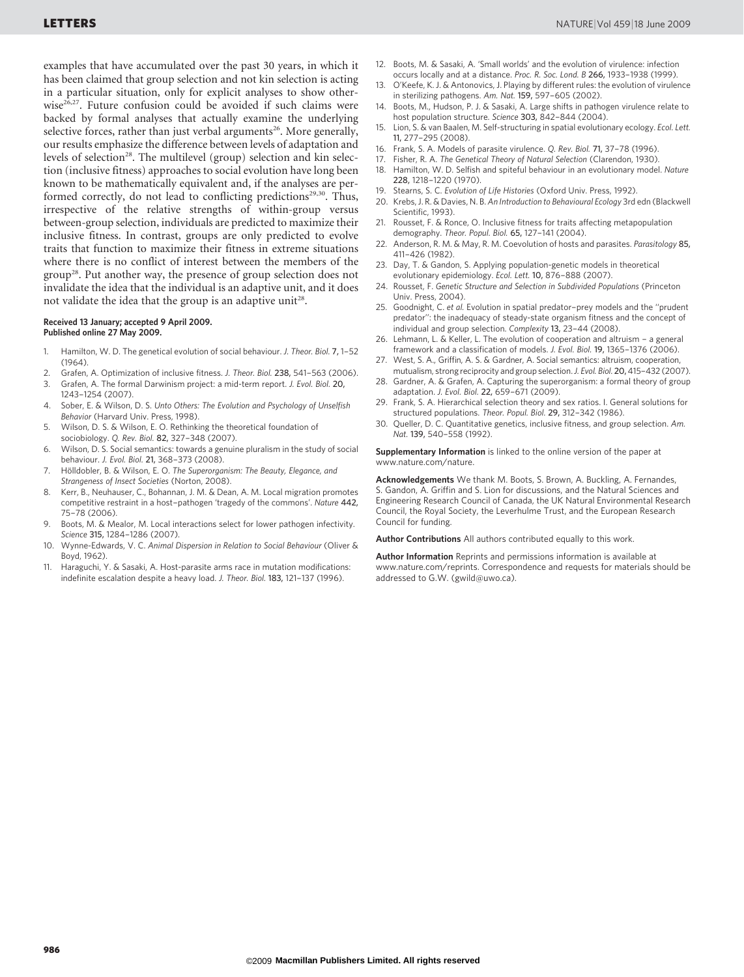examples that have accumulated over the past 30 years, in which it has been claimed that group selection and not kin selection is acting in a particular situation, only for explicit analyses to show otherwise<sup>26,27</sup>. Future confusion could be avoided if such claims were backed by formal analyses that actually examine the underlying selective forces, rather than just verbal arguments<sup>26</sup>. More generally, our results emphasize the difference between levels of adaptation and levels of selection<sup>28</sup>. The multilevel (group) selection and kin selection (inclusive fitness) approaches to social evolution have long been known to be mathematically equivalent and, if the analyses are performed correctly, do not lead to conflicting predictions<sup>29,30</sup>. Thus, irrespective of the relative strengths of within-group versus between-group selection, individuals are predicted to maximize their inclusive fitness. In contrast, groups are only predicted to evolve traits that function to maximize their fitness in extreme situations where there is no conflict of interest between the members of the group28. Put another way, the presence of group selection does not invalidate the idea that the individual is an adaptive unit, and it does not validate the idea that the group is an adaptive unit<sup>28</sup>.

#### Received 13 January; accepted 9 April 2009. Published online 27 May 2009.

- 1. Hamilton, W. D. The genetical evolution of social behaviour. J. Theor. Biol. 7, 1–52  $(1964)$
- 2. Grafen, A. Optimization of inclusive fitness. J. Theor. Biol. 238, 541–563 (2006).<br>3. Grafen. A. The formal Darwinism proiect: a mid-term report. J. Evol. Biol. 20.
- Grafen, A. The formal Darwinism project: a mid-term report. J. Evol. Biol. 20, 1243–1254 (2007).
- 4. Sober, E. & Wilson, D. S. Unto Others: The Evolution and Psychology of Unselfish Behavior (Harvard Univ. Press, 1998).
- 5. Wilson, D. S. & Wilson, E. O. Rethinking the theoretical foundation of
- sociobiology. Q. Rev. Biol. 82, 327–348 (2007). Wilson, D. S. Social semantics: towards a genuine pluralism in the study of social behaviour. J. Evol. Biol. 21, 368–373 (2008).
- 7. Hölldobler, B. & Wilson, E. O. The Superorganism: The Beauty, Elegance, and Strangeness of Insect Societies (Norton, 2008).
- 8. Kerr, B., Neuhauser, C., Bohannan, J. M. & Dean, A. M. Local migration promotes competitive restraint in a host–pathogen 'tragedy of the commons'. Nature 442, 75–78 (2006).
- 9. Boots, M. & Mealor, M. Local interactions select for lower pathogen infectivity. Science 315, 1284–1286 (2007).
- 10. Wynne-Edwards, V. C. Animal Dispersion in Relation to Social Behaviour (Oliver & Boyd, 1962).
- 11. Haraguchi, Y. & Sasaki, A. Host-parasite arms race in mutation modifications: indefinite escalation despite a heavy load. J. Theor. Biol. 183, 121–137 (1996).
- 12. Boots, M. & Sasaki, A. 'Small worlds' and the evolution of virulence: infection occurs locally and at a distance. Proc. R. Soc. Lond. B 266, 1933–1938 (1999).
- 13. O'Keefe, K. J. & Antonovics, J. Playing by different rules: the evolution of virulence in sterilizing pathogens. Am. Nat. 159, 597–605 (2002).
- 14. Boots, M., Hudson, P. J. & Sasaki, A. Large shifts in pathogen virulence relate to host population structure. Science 303, 842-844 (2004).
- 15. Lion, S. & van Baalen, M. Self-structuring in spatial evolutionary ecology. Ecol. Lett. 11, 277–295 (2008).
- 16. Frank, S. A. Models of parasite virulence. Q. Rev. Biol. 71, 37–78 (1996).
- 17. Fisher, R. A. The Genetical Theory of Natural Selection (Clarendon, 1930).
- 18. Hamilton, W. D. Selfish and spiteful behaviour in an evolutionary model. Nature 228, 1218–1220 (1970).
- 19. Stearns, S. C. Evolution of Life Histories (Oxford Univ. Press, 1992).<br>20. Krebs, J. R. & Davies. N. B. An Introduction to Behavioural Ecology 3rd
- Krebs, J. R. & Davies, N. B. An Introduction to Behavioural Ecology 3rd edn (Blackwell Scientific, 1993).
- 21. Rousset, F. & Ronce, O. Inclusive fitness for traits affecting metapopulation demography. Theor. Popul. Biol. 65, 127–141 (2004).
- 22. Anderson, R. M. & May, R. M. Coevolution of hosts and parasites. Parasitology 85, 411–426 (1982).
- 23. Day, T. & Gandon, S. Applying population-genetic models in theoretical evolutionary epidemiology. Ecol. Lett. 10, 876–888 (2007).
- 24. Rousset, F. Genetic Structure and Selection in Subdivided Populations (Princeton Univ. Press, 2004).
- 25. Goodnight, C. et al. Evolution in spatial predator–prey models and the ''prudent predator'': the inadequacy of steady-state organism fitness and the concept of individual and group selection. Complexity 13, 23–44 (2008).
- 26. Lehmann, L. & Keller, L. The evolution of cooperation and altruism a general framework and a classification of models. J. Evol. Biol. 19, 1365–1376 (2006).
- 27. West, S. A., Griffin, A. S. & Gardner, A. Social semantics: altruism, cooperation, mutualism, strong reciprocity and group selection. J. Evol. Biol. 20, 415-432 (2007).
- 28. Gardner, A. & Grafen, A. Capturing the superorganism: a formal theory of group adaptation. J. Evol. Biol. 22, 659–671 (2009).
- 29. Frank, S. A. Hierarchical selection theory and sex ratios. I. General solutions for structured populations. Theor. Popul. Biol. 29, 312–342 (1986).
- 30. Queller, D. C. Quantitative genetics, inclusive fitness, and group selection. Am. Nat. 139, 540–558 (1992).

Supplementary Information is linked to the online version of the paper at <www.nature.com/nature>.

Acknowledgements We thank M. Boots, S. Brown, A. Buckling, A. Fernandes, S. Gandon, A. Griffin and S. Lion for discussions, and the Natural Sciences and Engineering Research Council of Canada, the UK Natural Environmental Research Council, the Royal Society, the Leverhulme Trust, and the European Research Council for funding.

Author Contributions All authors contributed equally to this work.

Author Information Reprints and permissions information is available at <www.nature.com/reprints>. Correspondence and requests for materials should be addressed to G.W. [\(gwild@uwo.ca\)](mailto:gwild@uwo.ca).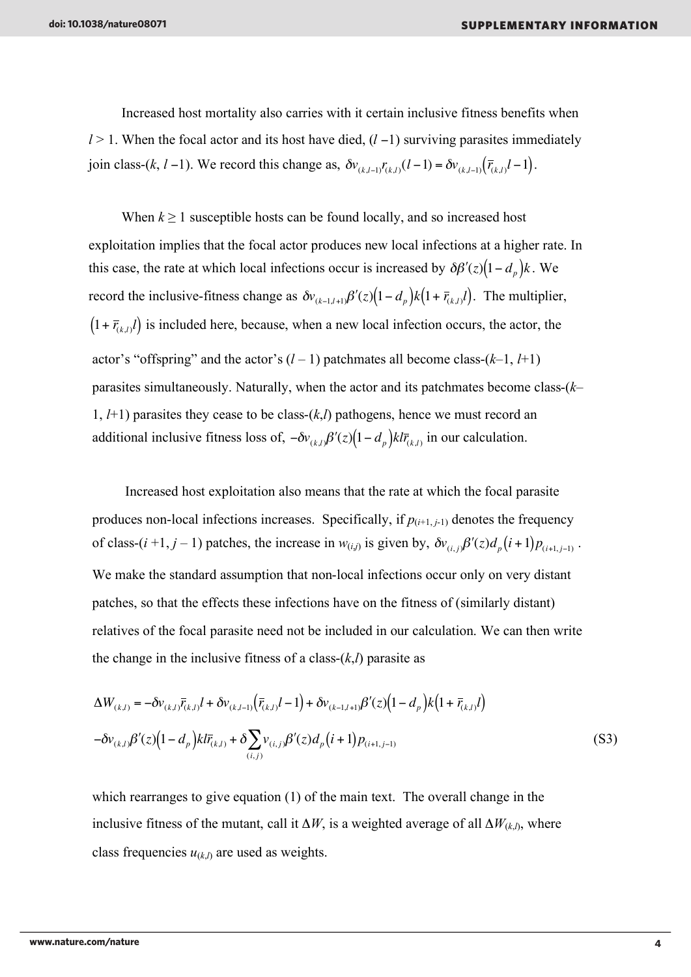Increased host mortality also carries with it certain inclusive fitness benefits when *l* > 1. When the focal actor and its host have died, (*l* −1) surviving parasites immediately *j*oin class-(*k*, *l* −1). We record this change as,  $\delta v_{(k,l-1)} r_{(k,l)}(l-1) = \delta v_{(k,l-1)}(\bar{r}_{(k,l)}l-1)$ .

 $\overline{\phantom{a}}$ When  $k \geq 1$  susceptible hosts can be found locally, and so increased host exploitation implies that the focal actor produces new local infections at a higher rate. In this case, the rate at which local infections occur is increased by  $\delta \beta'(z) (1 - d_p) k$ . We  $(1 + \overline{r}_{(k,l)}l)$  is included here, because, when a new local infection occurs, the actor, the record the inclusive-fitness change as  $\delta v_{(k-1,l+1)} \beta'(z) (1 - d_p) k (1 + \bar{r}_{(k,l)}l)$ . The multiplier, actor's "offspring" and the actor's  $(l-1)$  patchmates all become class- $(k-1, l+1)$ parasites simultaneously. Naturally, when the actor and its patchmates become class-(*k*– 1, *l*+1) parasites they cease to be class-(*k*,*l*) pathogens, hence we must record an additional inclusive fitness loss of,  $-\delta v_{(k,l)} \beta'(z) (1 - d_p) k l \bar{r}_{(k,l)}$  in our calculation.

 $\ddot{\phantom{0}}$ Increased host exploitation also means that the rate at which the focal parasite produces non-local infections increases. Specifically, if  $p_{(i+1,i-1)}$  denotes the frequency of class-(*i*+1, *j* – 1) patches, the increase in  $w_{(i,j)}$  is given by,  $\delta v_{(i,j)} \beta'(z) d_p(i+1) p_{(i+1,j-1)}$ . ! patches, so that the effects these infections have on the fitness of (similarly distant) We make the standard assumption that non-local infections occur only on very distant relatives of the focal parasite need not be included in our calculation. We can then write the change in the inclusive fitness of a class- $(k,l)$  parasite as

$$
\Delta W_{(k,l)} = -\delta v_{(k,l)} \bar{r}_{(k,l)} l + \delta v_{(k,l-1)} (\bar{r}_{(k,l)} l - 1) + \delta v_{(k-1,l+1)} \beta'(z) (1 - d_p) k (1 + \bar{r}_{(k,l)} l)
$$
  

$$
-\delta v_{(k,l)} \beta'(z) (1 - d_p) k l \bar{r}_{(k,l)} + \delta \sum_{(i,j)} v_{(i,j)} \beta'(z) d_p (i+1) p_{(i+1,j-1)}
$$
(S3)

which rearranges to give equation (1) of the main text. The overall change in the inclusive fitness of the mutant, call it  $\Delta W$ , is a weighted average of all  $\Delta W_{(k,l)}$ , where class frequencies  $u_{(k,l)}$  are used as weights.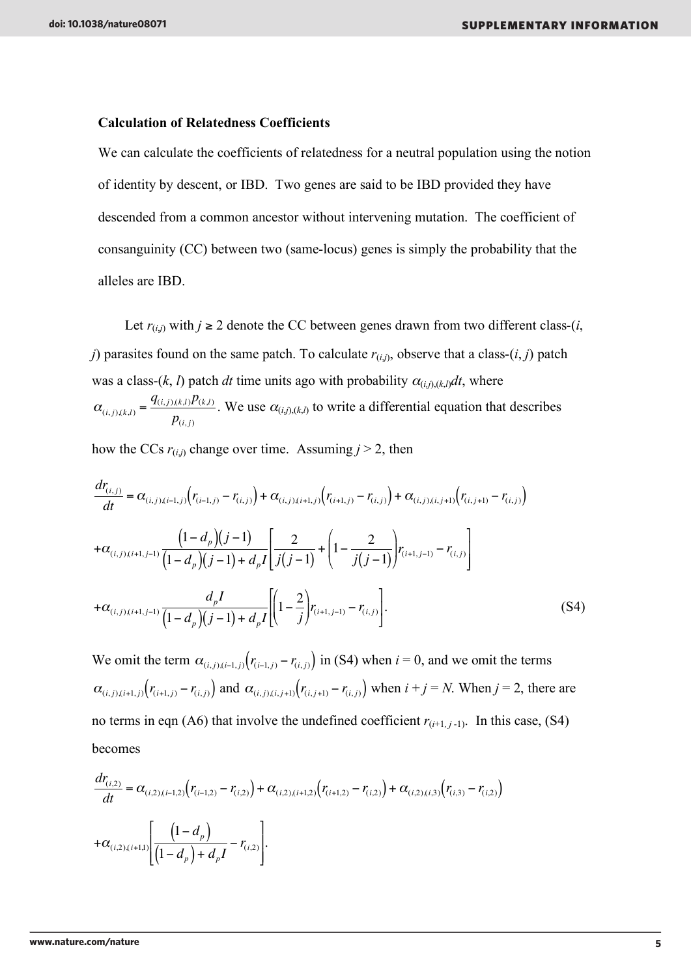#### **Calculation of Relatedness Coefficients**

We can calculate the coefficients of relatedness for a neutral population using the notion of identity by descent, or IBD. Two genes are said to be IBD provided they have descended from a common ancestor without intervening mutation. The coefficient of consanguinity (CC) between two (same-locus) genes is simply the probability that the alleles are IBD.

Let  $r_{(i,j)}$  with  $j \geq 2$  denote the CC between genes drawn from two different class-(*i*, *j*) parasites found on the same patch. To calculate  $r_{(i,j)}$ , observe that a class- $(i, j)$  patch was a class-(*k*, *l*) patch *dt* time units ago with probability  $\alpha_{(i,j),(k,l)}dt$ , where  $\alpha_{(i, j),(k,l)} = \frac{q_{(i, j),(k,l)}p_{(k,l)}}{r}$  $p_{(i,j)}$ . We use  $\alpha_{(i,j),(k,l)}$  to write a differential equation that describes

how the CCs  $r_{(i,j)}$  change over time. Assuming  $j > 2$ , then

$$
\frac{d r_{(i,j)}}{dt} = \alpha_{(i,j),(i-1,j)} \left( r_{(i-1,j)} - r_{(i,j)} \right) + \alpha_{(i,j),(i+1,j)} \left( r_{(i+1,j)} - r_{(i,j)} \right) + \alpha_{(i,j),(i,j+1)} \left( r_{(i,j+1)} - r_{(i,j)} \right)
$$
\n
$$
+ \alpha_{(i,j),(i+1,j-1)} \frac{\left( 1 - d_p \right) \left( j - 1 \right)}{\left( 1 - d_p \right) \left( j - 1 \right) + d_p I} \left[ \frac{2}{j(j-1)} + \left( 1 - \frac{2}{j(j-1)} \right) r_{(i+1,j-1)} - r_{(i,j)} \right]
$$
\n
$$
+ \alpha_{(i,j),(i+1,j-1)} \frac{d_p I}{\left( 1 - d_p \right) \left( j - 1 \right) + d_p I} \left[ \left( 1 - \frac{2}{j} \right) r_{(i+1,j-1)} - r_{(i,j)} \right]. \tag{S4}
$$

We omit the term  $\alpha_{(i,j),(i-1,j)}(r_{(i-1,j)} - r_{(i,j)})$  in (S4) when  $i = 0$ , and we omit the terms no terms in eqn (A6) that involve the undefined coefficient  $r_{(i+1,j-1)}$ . In this case, (S4)  $\alpha_{(i,j),(i+1,j)}(r_{(i+1,j)}-r_{(i,j)})$  and  $\alpha_{(i,j),(i,j+1)}(r_{(i,j+1)}-r_{(i,j)})$  when  $i+j=N$ . When  $j=2$ , there are becomes

$$
\frac{dr_{(i,2)}}{dt} = \alpha_{(i,2),(i-1,2)}(r_{(i-1,2)} - r_{(i,2)}) + \alpha_{(i,2),(i+1,2)}(r_{(i+1,2)} - r_{(i,2)}) + \alpha_{(i,2),(i,3)}(r_{(i,3)} - r_{(i,2)}) + \alpha_{(i,2),(i+1,1)}\left[\frac{(1-d_p)}{(1-d_p)+d_pI} - r_{(i,2)}\right].
$$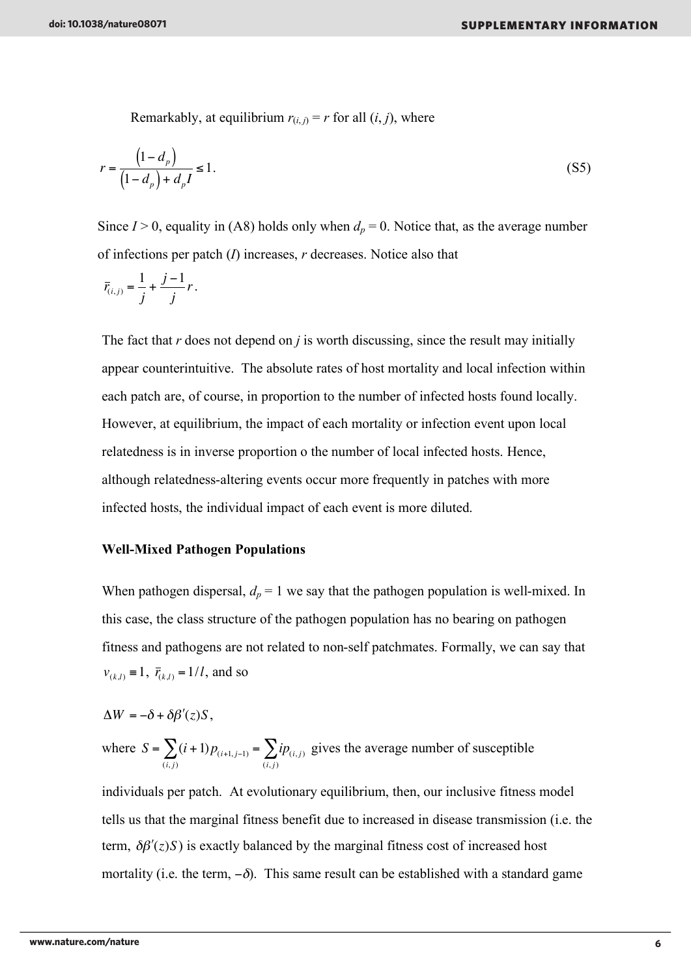Remarkably, at equilibrium  $r(i,j) = r$  for all  $(i, j)$ , where

$$
r = \frac{\left(1 - d_p\right)}{\left(1 - d_p\right) + d_p I} \le 1.
$$
\n(S5)

Since  $I > 0$ , equality in (A8) holds only when  $d_p = 0$ . Notice that, as the average number of infections per patch (*I*) increases, *r* decreases. Notice also that

$$
\overline{r}_{(i,j)} = \frac{1}{j} + \frac{j-1}{j}r.
$$

The fact that *r* does not depend on *j* is worth discussing, since the result may initially appear counterintuitive. The absolute rates of host mortality and local infection within each patch are, of course, in proportion to the number of infected hosts found locally. However, at equilibrium, the impact of each mortality or infection event upon local relatedness is in inverse proportion o the number of local infected hosts. Hence, although relatedness-altering events occur more frequently in patches with more infected hosts, the individual impact of each event is more diluted.

#### **Well-Mixed Pathogen Populations**

"(*z*)*S* /(<sup>µ</sup> + *z*) (refs 16,36).

When pathogen dispersal,  $d_p = 1$  we say that the pathogen population is well-mixed. In this case, the class structure of the pathogen population has no bearing on pathogen fitness and pathogens are not related to non-self patchmates. Formally, we can say that  $v_{(k,l)} \equiv 1$ ,  $\bar{r}_{(k,l)} = 1/l$ , and so

$$
\Delta W = -\delta + \delta \beta'(z) S,
$$

where  $S = \sum_{i=1}^{n} (i+1)p_{(i+1, j-1)}$  $(i, j)$  $\sum_{i=1}^{n} (i+1)p_{(i+1,j-1)} = \sum_{i=1}^{n} ip_{(i,j)}$  $(i, j)$  $\sum i p_{(i,j)}$  gives the average number of susceptible

individuals per patch. At evolutionary equilibrium, then, our inclusive fitness model tells us that the marginal fitness benefit due to increased in disease transmission (i.e. the term,  $\delta \beta'(z)$ *S*) is exactly balanced by the marginal fitness cost of increased host mortality (i.e. the term,  $-\delta$ ). This same result can be established with a standard game

success,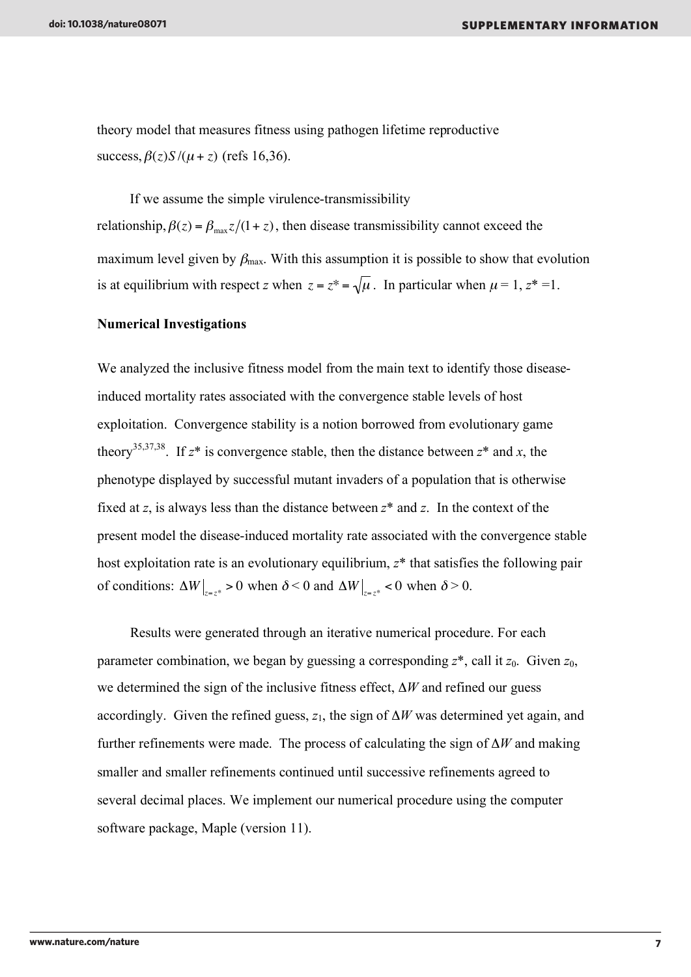theory model that measures fitness using pathogen lifetime reproductive success,  $\beta(z)S/(\mu + z)$  (refs 16,36).

If we assume the simple virulence-transmissibility relationship,  $\beta(z) = \beta_{\text{max}} z/(1+z)$ , then disease transmissibility cannot exceed the is at equilibrium with respect *z* when  $z = z^* = \sqrt{\mu}$ . In particular when  $\mu = 1, z^* = 1$ . maximum level given by  $\beta_{\text{max}}$ . With this assumption it is possible to show that evolution

#### **Numerical Investigations**

We analyzed the inclusive fitness model from the main text to identify those diseaseinduced mortality rates associated with the convergence stable levels of host exploitation. Convergence stability is a notion borrowed from evolutionary game theory<sup>35,37,38</sup>. If  $z^*$  is convergence stable, then the distance between  $z^*$  and  $x$ , the phenotype displayed by successful mutant invaders of a population that is otherwise fixed at *z*, is always less than the distance between *z*\* and *z*. In the context of the present model the disease-induced mortality rate associated with the convergence stable host exploitation rate is an evolutionary equilibrium, *z*\* that satisfies the following pair of conditions:  $\Delta W \big|_{z=z^*} > 0$  when  $\delta < 0$  and  $\Delta W \big|_{z=z^*} < 0$  when  $\delta > 0$ .

*Property Services* Results were generated through an iterative numerical procedure. For each parameter combination, we began by guessing a corresponding *z*\*, call it *z*0. Given *z*0, we determined the sign of the inclusive fitness effect, Δ*W* and refined our guess accordingly. Given the refined guess,  $z_1$ , the sign of  $\Delta W$  was determined yet again, and further refinements were made. The process of calculating the sign of Δ*W* and making smaller and smaller refinements continued until successive refinements agreed to several decimal places. We implement our numerical procedure using the computer software package, Maple (version 11).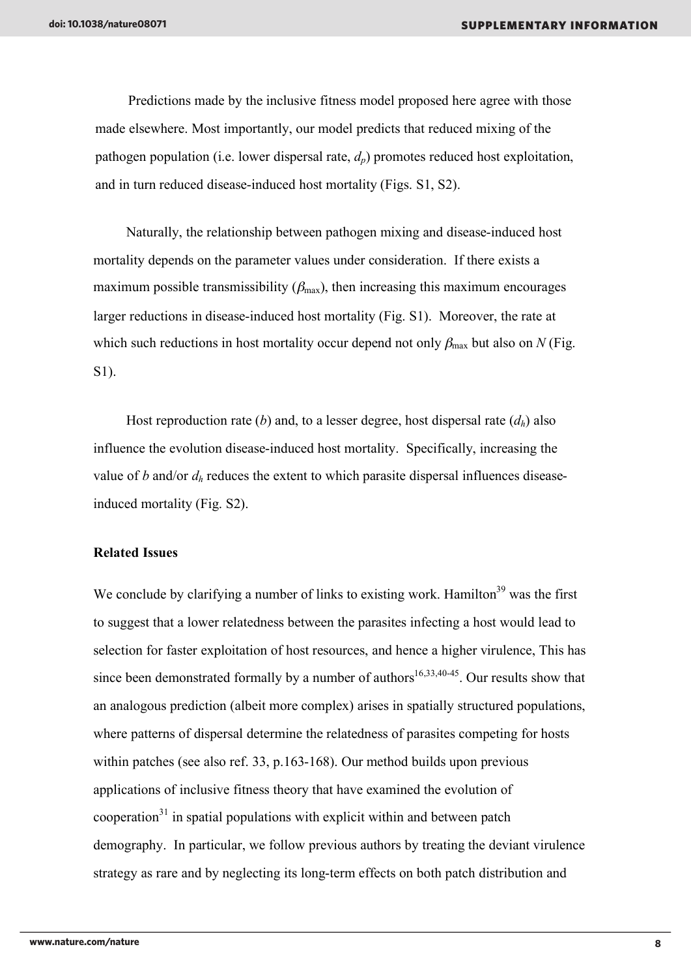Predictions made by the inclusive fitness model proposed here agree with those made elsewhere. Most importantly, our model predicts that reduced mixing of the pathogen population (i.e. lower dispersal rate,  $d_p$ ) promotes reduced host exploitation, and in turn reduced disease-induced host mortality (Figs. S1, S2).

Naturally, the relationship between pathogen mixing and disease-induced host mortality depends on the parameter values under consideration. If there exists a maximum possible transmissibility  $(\beta_{\text{max}})$ , then increasing this maximum encourages larger reductions in disease-induced host mortality (Fig. S1). Moreover, the rate at which such reductions in host mortality occur depend not only  $\beta_{\text{max}}$  but also on *N* (Fig. S1).

Host reproduction rate (*b*) and, to a lesser degree, host dispersal rate  $(d_h)$  also influence the evolution disease-induced host mortality. Specifically, increasing the value of *b* and/or  $d_h$  reduces the extent to which parasite dispersal influences diseaseinduced mortality (Fig. S2).

#### **Related Issues**

We conclude by clarifying a number of links to existing work. Hamilton<sup>39</sup> was the first to suggest that a lower relatedness between the parasites infecting a host would lead to selection for faster exploitation of host resources, and hence a higher virulence, This has since been demonstrated formally by a number of authors<sup>16,33,40-45</sup>. Our results show that an analogous prediction (albeit more complex) arises in spatially structured populations, where patterns of dispersal determine the relatedness of parasites competing for hosts within patches (see also ref. 33, p.163-168). Our method builds upon previous applications of inclusive fitness theory that have examined the evolution of  $cooperation<sup>31</sup>$  in spatial populations with explicit within and between patch demography. In particular, we follow previous authors by treating the deviant virulence strategy as rare and by neglecting its long-term effects on both patch distribution and

the initial success of a mutant, rather than it would certain it would certainly of  $\alpha$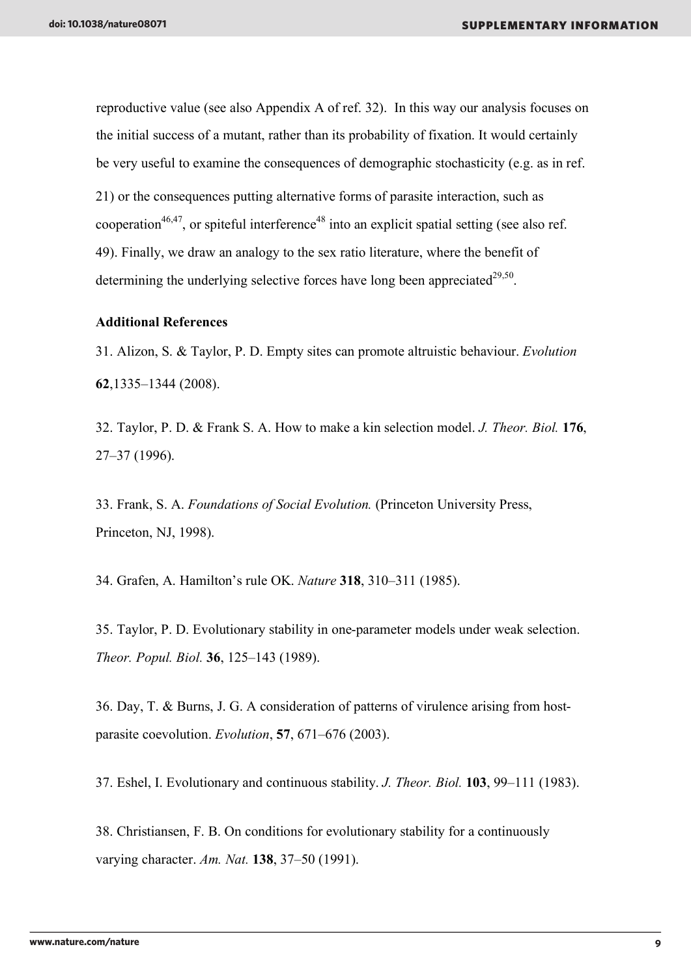reproductive value (see also Appendix A of ref. 32). In this way our analysis focuses on the initial success of a mutant, rather than its probability of fixation. It would certainly be very useful to examine the consequences of demographic stochasticity (e.g. as in ref. 21) or the consequences putting alternative forms of parasite interaction, such as cooperation<sup>46,47</sup>, or spiteful interference<sup>48</sup> into an explicit spatial setting (see also ref. 49). Finally, we draw an analogy to the sex ratio literature, where the benefit of determining the underlying selective forces have long been appreciated<sup>29,50</sup>.

#### **Additional References**

31. Alizon, S. & Taylor, P. D. Empty sites can promote altruistic behaviour. *Evolution* **62**,1335–1344 (2008).

32. Taylor, P. D. & Frank S. A. How to make a kin selection model. *J. Theor. Biol.* **176**, 27–37 (1996).

33. Frank, S. A. *Foundations of Social Evolution.* (Princeton University Press, Princeton, NJ, 1998).

34. Grafen, A. Hamilton's rule OK. *Nature* **318**, 310–311 (1985).

35. Taylor, P. D. Evolutionary stability in one-parameter models under weak selection. *Theor. Popul. Biol.* **36**, 125–143 (1989).

36. Day, T. & Burns, J. G. A consideration of patterns of virulence arising from hostparasite coevolution. *Evolution*, **57**, 671–676 (2003).

37. Eshel, I. Evolutionary and continuous stability. *J. Theor. Biol.* **103**, 99–111 (1983).

38. Christiansen, F. B. On conditions for evolutionary stability for a continuously varying character. *Am. Nat.* **138**, 37–50 (1991).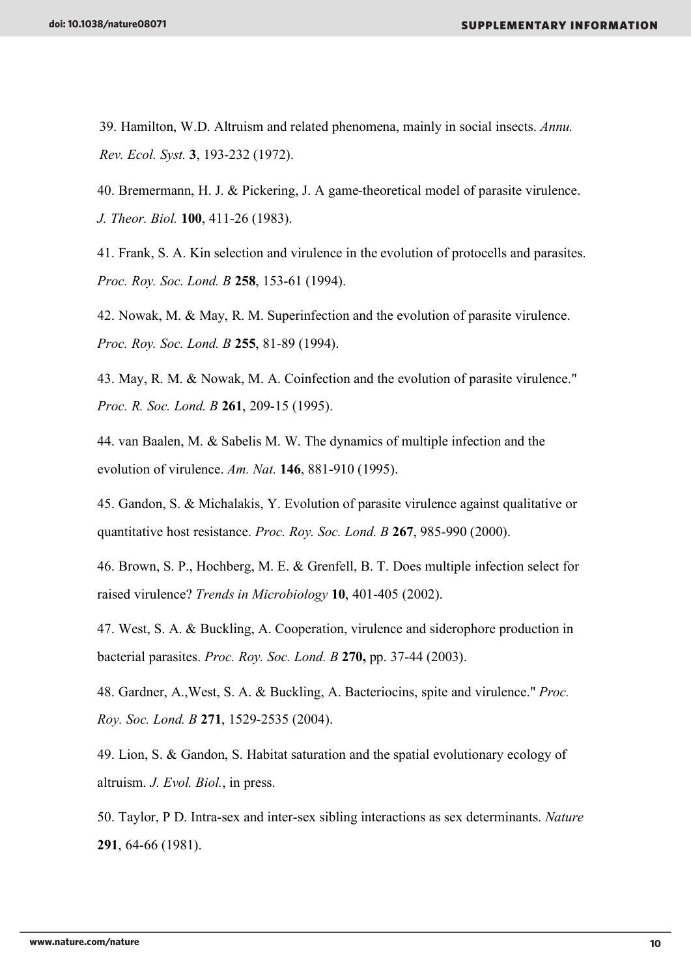39. Hamilton, W.D. Altruism and related phenomena, mainly in social insects. *Annu. Rev. Ecol. Syst.* **3**, 193-232 (1972).

40. Bremermann, H. J. & Pickering, J. A game-theoretical model of parasite virulence. *J. Theor. Biol.* **100**, 411-26 (1983).

41. Frank, S. A. Kin selection and virulence in the evolution of protocells and parasites. *Proc. Roy. Soc. Lond. B* **258**, 153-61 (1994).

42. Nowak, M. & May, R. M. Superinfection and the evolution of parasite virulence. *Proc. Roy. Soc. Lond. B* **255**, 81-89 (1994).

43. May, R. M. & Nowak, M. A. Coinfection and the evolution of parasite virulence." *Proc. R. Soc. Lond. B* **261**, 209-15 (1995).

44. van Baalen, M. & Sabelis M. W. The dynamics of multiple infection and the evolution of virulence. *Am. Nat.* **146**, 881-910 (1995).

45. Gandon, S. & Michalakis, Y. Evolution of parasite virulence against qualitative or quantitative host resistance. *Proc. Roy. Soc. Lond. B* **267**, 985-990 (2000).

46. Brown, S. P., Hochberg, M. E. & Grenfell, B. T. Does multiple infection select for raised virulence? *Trends in Microbiology* **10**, 401-405 (2002).

47. West, S. A. & Buckling, A. Cooperation, virulence and siderophore production in bacterial parasites. *Proc. Roy. Soc. Lond. B* **270,** pp. 37-44 (2003).

48. Gardner, A.,West, S. A. & Buckling, A. Bacteriocins, spite and virulence." *Proc. Roy. Soc. Lond. B* **271**, 1529-2535 (2004).

49. Lion, S. & Gandon, S. Habitat saturation and the spatial evolutionary ecology of altruism. *J. Evol. Biol.*, in press.

50. Taylor, P D. Intra-sex and inter-sex sibling interactions as sex determinants. *Nature* **291**, 64-66 (1981).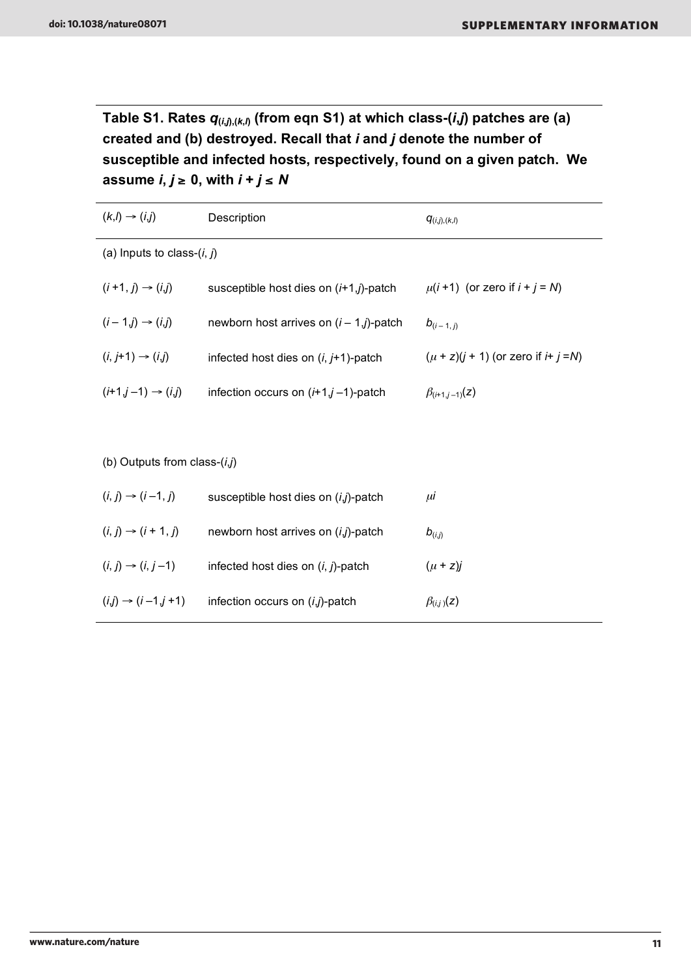**Table S1. Rates** *q***(***i***,***j***),(***k***,***l***) (from eqn S1) at which class-(***i***,***j***) patches are (a) created and (b) destroyed. Recall that** *i* **and** *j* **denote the number of susceptible and infected hosts, respectively, found on a given patch. We**  assume  $i, j \ge 0$ , with  $i + j \le N$ 

| $(k, l) \rightarrow (i, j)$     | Description                                 | $q_{(i,j),(k,l)}$                            |  |
|---------------------------------|---------------------------------------------|----------------------------------------------|--|
| (a) Inputs to class- $(i, j)$   |                                             |                                              |  |
| $(i+1, j) \rightarrow (i, j)$   | susceptible host dies on $(i+1,j)$ -patch   | $\mu(i+1)$ (or zero if $i + j = N$ )         |  |
| $(i-1,j) \rightarrow (i,j)$     | newborn host arrives on $(i - 1, j)$ -patch | $b_{(i-1,j)}$                                |  |
| $(i, j+1) \rightarrow (i, j)$   | infected host dies on $(i, j+1)$ -patch     | $(\mu + z)(j + 1)$ (or zero if $i + j = N$ ) |  |
| $(i+1,j-1) \rightarrow (i,j)$   | infection occurs on $(i+1, j-1)$ -patch     | $\beta_{(i+1,j-1)}(z)$                       |  |
|                                 |                                             |                                              |  |
| (b) Outputs from class- $(i,j)$ |                                             |                                              |  |
| $(i, j) \rightarrow (i-1, j)$   | susceptible host dies on (i,j)-patch        | μİ                                           |  |
| $(i, j) \to (i + 1, j)$         | newborn host arrives on (i,j)-patch         | $b_{(i,j)}$                                  |  |
| $(i, j) \rightarrow (i, j-1)$   | infected host dies on $(i, j)$ -patch       | $(\mu + z)j$                                 |  |
| $(i,j) \rightarrow (i-1,j+1)$   | infection occurs on $(i,j)$ -patch          | $\beta_{(i,j)}(z)$                           |  |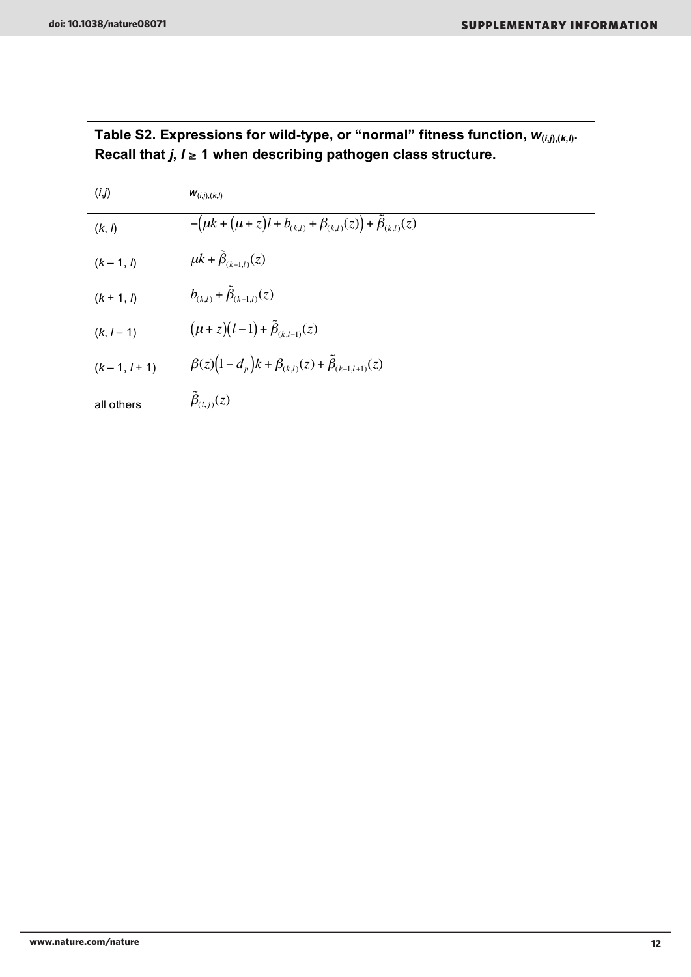|<br>|<br>|

| (i,j)        | $W_{(i,j),(k,l)}$                                                         |
|--------------|---------------------------------------------------------------------------|
| (k, l)       | $-(\mu k + (\mu + z)l + b_{(k,l)} + \beta_{(k,l)}(z)) + \beta_{(k,l)}(z)$ |
| $(k - 1, l)$ | $\mu k + \tilde{\beta}_{(k-1,l)}(z)$                                      |
| $(k + 1, l)$ | $b_{(k,l)} + \tilde{\beta}_{(k+1,l)}(z)$                                  |
| $(k, l - 1)$ | $(\mu + z)(l-1) + \tilde{\beta}_{(k-l-1)}(z)$                             |
| $(k-1, l+1)$ | $\beta(z)(1-d_p)k + \beta_{(k,l)}(z) + \tilde{\beta}_{(k-l,l+1)}(z)$      |
| all others   | $\tilde{\beta}_{(i,j)}(z)$                                                |

### **Table S2. Expressions for wild-type, or "normal" fitness function,** *w***(***i***,***j***),(***k***,***l***).**  Recall that  $j, l \ge 1$  when describing pathogen class structure.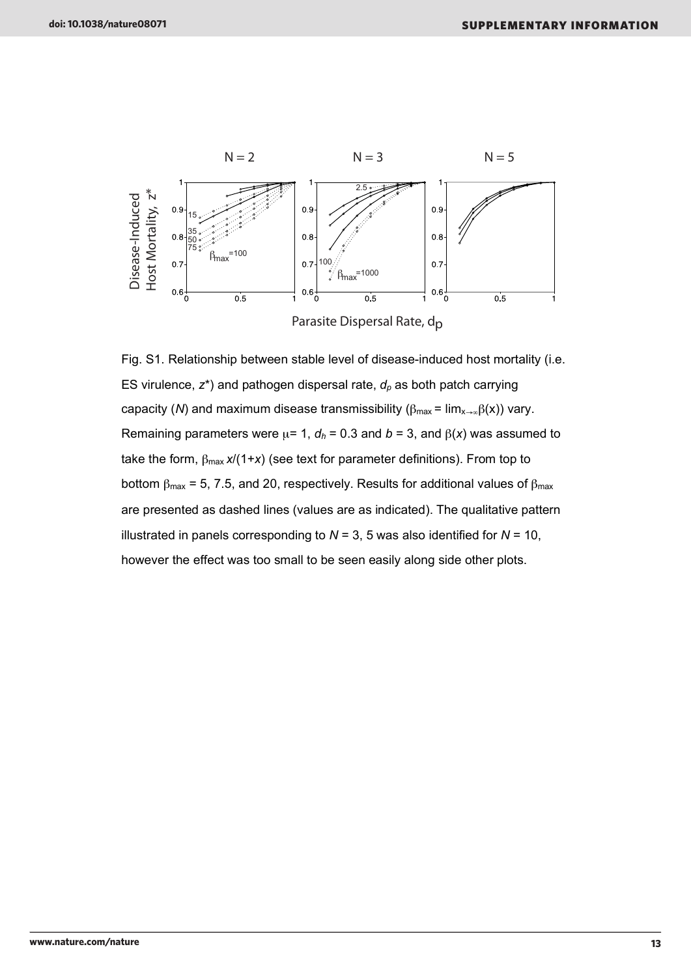

Fig. S1. Relationship between stable level of disease-induced host mortality (i.e. ES virulence,  $z^*$ ) and pathogen dispersal rate,  $d_p$  as both patch carrying capacity (N) and maximum disease transmissibility ( $\beta_{\text{max}} = \lim_{x \to \infty} \beta(x)$ ) vary. Remaining parameters were  $\mu$ = 1,  $d_h$  = 0.3 and  $b$  = 3, and  $\beta(x)$  was assumed to take the form,  $\beta_{\text{max}} x/(1+x)$  (see text for parameter definitions). From top to bottom  $\beta_{\text{max}}$  = 5, 7.5, and 20, respectively. Results for additional values of  $\beta_{\text{max}}$ are presented as dashed lines (values are as indicated). The qualitative pattern illustrated in panels corresponding to  $N = 3$ , 5 was also identified for  $N = 10$ , however the effect was too small to be seen easily along side other plots.